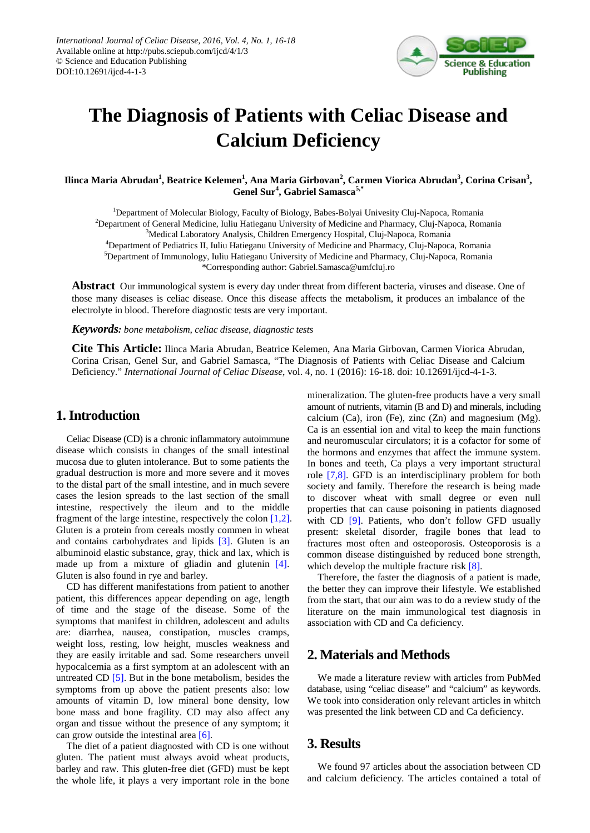

# **The Diagnosis of Patients with Celiac Disease and Calcium Deficiency**

 $\bf{I}$ linca Maria Abrudan<sup>1</sup>, Beatrice Kelemen<sup>1</sup>, Ana Maria Girbovan<sup>2</sup>, Carmen Viorica Abrudan<sup>3</sup>, Corina Crisan<sup>3</sup>, **Genel Sur<sup>4</sup> , Gabriel Samasca5,\***

<sup>1</sup>Department of Molecular Biology, Faculty of Biology, Babes-Bolyai Univesity Cluj-Napoca, Romania <sup>2</sup>Department of General Medicine, Iuliu Hatieganu University of Medicine and Pharmacy, Cluj-Napoca, Romania <sup>3</sup>Medical Laboratory Analysis, Children Emergency Hospital, Cluj-Napoca, Romania 4 Department of Pediatrics II, Iuliu Hatieganu University of Medicine and Pharmacy, Cluj-Napoca, Romania 5 Department of Immunology, Iuliu Hatieganu University of Medicine and Pharmacy, Cluj-Napoca, Romania \*Corresponding author: Gabriel.Samasca@umfcluj.ro

**Abstract** Our immunological system is every day under threat from different bacteria, viruses and disease. One of those many diseases is celiac disease. Once this disease affects the metabolism, it produces an imbalance of the electrolyte in blood. Therefore diagnostic tests are very important.

*Keywords: bone metabolism, celiac disease, diagnostic tests*

**Cite This Article:** Ilinca Maria Abrudan, Beatrice Kelemen, Ana Maria Girbovan, Carmen Viorica Abrudan, Corina Crisan, Genel Sur, and Gabriel Samasca, "The Diagnosis of Patients with Celiac Disease and Calcium Deficiency." *International Journal of Celiac Disease*, vol. 4, no. 1 (2016): 16-18. doi: 10.12691/ijcd-4-1-3.

### **1. Introduction**

Celiac Disease (CD) is a chronic inflammatory autoimmune disease which consists in changes of the small intestinal mucosa due to gluten intolerance. But to some patients the gradual destruction is more and more severe and it moves to the distal part of the small intestine, and in much severe cases the lesion spreads to the last section of the small intestine, respectively the ileum and to the middle fragment of the large intestine, respectively the colon [\[1,2\].](#page-2-0) Gluten is a protein from cereals mostly commen in wheat and contains carbohydrates and lipids [\[3\].](#page-2-1) Gluten is an albuminoid elastic substance, gray, thick and lax, which is made up from a mixture of gliadin and glutenin [\[4\].](#page-2-2) Gluten is also found in rye and barley.

CD has different manifestations from patient to another patient, this differences appear depending on age, length of time and the stage of the disease. Some of the symptoms that manifest in children, adolescent and adults are: diarrhea, nausea, constipation, muscles cramps, weight loss, resting, low height, muscles weakness and they are easily irritable and sad. Some researchers unveil hypocalcemia as a first symptom at an adolescent with an untreated CD  $[5]$ . But in the bone metabolism, besides the symptoms from up above the patient presents also: low amounts of vitamin D, low mineral bone density, low bone mass and bone fragility. CD may also affect any organ and tissue without the presence of any symptom; it can grow outside the intestinal area [\[6\].](#page-2-4)

The diet of a patient diagnosted with CD is one without gluten. The patient must always avoid wheat products, barley and raw. This gluten-free diet (GFD) must be kept the whole life, it plays a very important role in the bone mineralization. The gluten-free products have a very small amount of nutrients, vitamin (B and D) and minerals, including calcium (Ca), iron (Fe), zinc  $(Zn)$  and magnesium (Mg). Ca is an essential ion and vital to keep the main functions and neuromuscular circulators; it is a cofactor for some of the hormons and enzymes that affect the immune system. In bones and teeth, Ca plays a very important structural role [\[7,8\].](#page-2-5) GFD is an interdisciplinary problem for both society and family. Therefore the research is being made to discover wheat with small degree or even null properties that can cause poisoning in patients diagnosed with CD [\[9\].](#page-2-6) Patients, who don't follow GFD usually present: skeletal disorder, fragile bones that lead to fractures most often and osteoporosis. Osteoporosis is a common disease distinguished by reduced bone strength, which develop the multiple fracture risk [\[8\].](#page-2-7)

Therefore, the faster the diagnosis of a patient is made, the better they can improve their lifestyle. We established from the start, that our aim was to do a review study of the literature on the main immunological test diagnosis in association with CD and Ca deficiency.

## **2. Materials and Methods**

We made a literature review with articles from PubMed database, using "celiac disease" and "calcium" as keywords. We took into consideration only relevant articles in whitch was presented the link between CD and Ca deficiency.

## **3. Results**

We found 97 articles about the association between CD and calcium deficiency*.* The articles contained a total of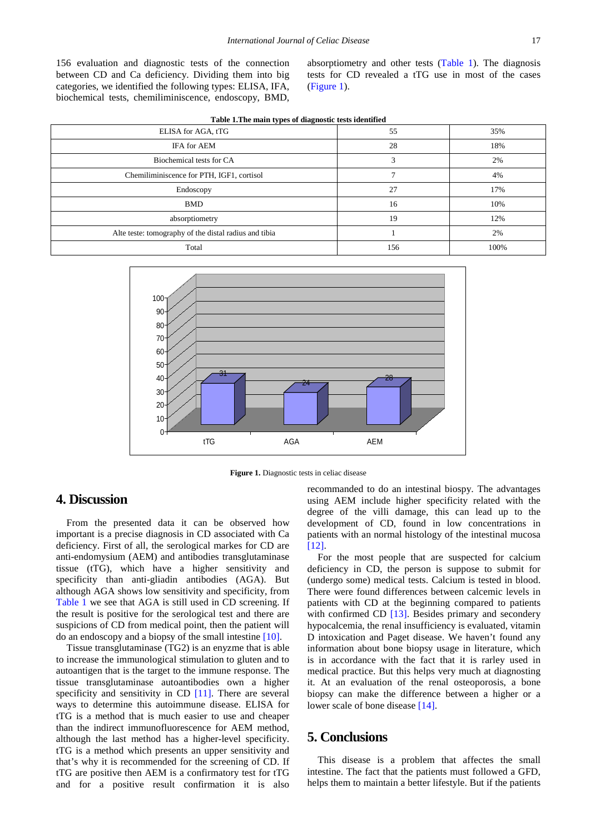156 evaluation and diagnostic tests of the connection between CD and Ca deficiency. Dividing them into big categories, we identified the following types: ELISA, IFA, biochemical tests, chemiliminiscence, endoscopy, BMD, absorptiometry and other tests [\(Table 1\)](#page-1-0). The diagnosis tests for CD revealed a tTG use in most of the cases [\(Figure 1\)](#page-1-1).

<span id="page-1-0"></span>

| Table 1. The main types of diagnostic tests identified |     |      |
|--------------------------------------------------------|-----|------|
| ELISA for AGA, tTG                                     | 55  | 35%  |
| IFA for AEM                                            | 28  | 18%  |
| Biochemical tests for CA                               | 3   | 2%   |
| Chemiliminiscence for PTH, IGF1, cortisol              |     | 4%   |
| Endoscopy                                              | 27  | 17%  |
| <b>BMD</b>                                             | 16  | 10%  |
| absorptiometry                                         | 19  | 12%  |
| Alte teste: tomography of the distal radius and tibia  |     | 2%   |
| Total                                                  | 156 | 100% |

<span id="page-1-1"></span>

**Figure 1.** Diagnostic tests in celiac disease

#### **4. Discussion**

From the presented data it can be observed how important is a precise diagnosis in CD associated with Ca deficiency. First of all, the serological markes for CD are anti-endomysium (AEM) and antibodies transglutaminase tissue (tTG), which have a higher sensitivity and specificity than anti-gliadin antibodies (AGA). But although AGA shows low sensitivity and specificity, from [Table 1](#page-1-0) we see that AGA is still used in CD screening. If the result is positive for the serological test and there are suspicions of CD from medical point, then the patient will do an endoscopy and a biopsy of the small intestine [\[10\].](#page-2-8)

Tissue transglutaminase (TG2) is an enyzme that is able to increase the immunological stimulation to gluten and to autoantigen that is the target to the immune response. The tissue transglutaminase autoantibodies own a higher specificity and sensitivity in CD [\[11\].](#page-2-9) There are several ways to determine this autoimmune disease. ELISA for tTG is a method that is much easier to use and cheaper than the indirect immunofluorescence for AEM method, although the last method has a higher-level specificity. tTG is a method which presents an upper sensitivity and that's why it is recommended for the screening of CD. If tTG are positive then AEM is a confirmatory test for tTG and for a positive result confirmation it is also

recommanded to do an intestinal biospy. The advantages using AEM include higher specificity related with the degree of the villi damage, this can lead up to the development of CD, found in low concentrations in patients with an normal histology of the intestinal mucosa [\[12\].](#page-2-10)

For the most people that are suspected for calcium deficiency in CD, the person is suppose to submit for (undergo some) medical tests. Calcium is tested in blood. There were found differences between calcemic levels in patients with CD at the beginning compared to patients with confirmed CD [\[13\].](#page-2-11) Besides primary and secondery hypocalcemia, the renal insufficiency is evaluated, vitamin D intoxication and Paget disease. We haven't found any information about bone biopsy usage in literature, which is in accordance with the fact that it is rarley used in medical practice. But this helps very much at diagnosting it. At an evaluation of the renal osteoporosis, a bone biopsy can make the difference between a higher or a lower scale of bone disease [\[14\].](#page-2-12)

## **5. Conclusions**

This disease is a problem that affectes the small intestine. The fact that the patients must followed a GFD, helps them to maintain a better lifestyle. But if the patients